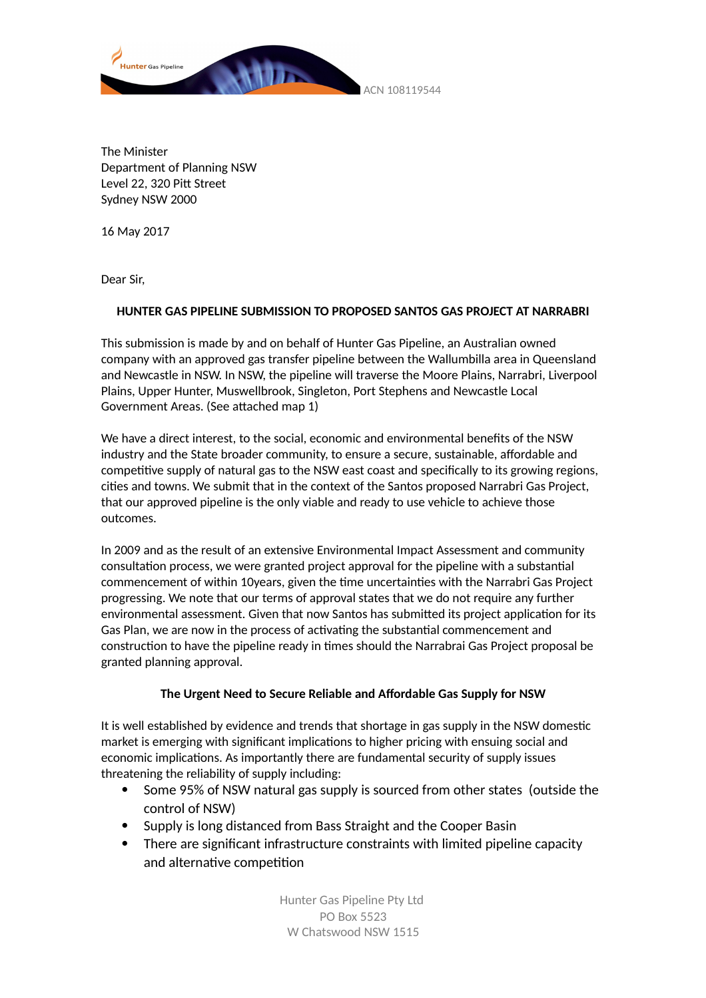

The Minister Department of Planning NSW Level 22, 320 Pitt Street Sydney NSW 2000

16 May 2017

Dear Sir,

### **HUNTER GAS PIPELINE SUBMISSION TO PROPOSED SANTOS GAS PROJECT AT NARRABRI**

This submission is made by and on behalf of Hunter Gas Pipeline, an Australian owned company with an approved gas transfer pipeline between the Wallumbilla area in Queensland and Newcastle in NSW. In NSW, the pipeline will traverse the Moore Plains, Narrabri, Liverpool Plains, Upper Hunter, Muswellbrook, Singleton, Port Stephens and Newcastle Local Government Areas. (See attached map 1)

We have a direct interest, to the social, economic and environmental benefits of the NSW industry and the State broader community, to ensure a secure, sustainable, affordable and competitive supply of natural gas to the NSW east coast and specifically to its growing regions, cities and towns. We submit that in the context of the Santos proposed Narrabri Gas Project, that our approved pipeline is the only viable and ready to use vehicle to achieve those outcomes.

In 2009 and as the result of an extensive Environmental Impact Assessment and community consultation process, we were granted project approval for the pipeline with a substantial commencement of within 10years, given the time uncertainties with the Narrabri Gas Project progressing. We note that our terms of approval states that we do not require any further environmental assessment. Given that now Santos has submitted its project application for its Gas Plan, we are now in the process of activating the substantial commencement and construction to have the pipeline ready in times should the Narrabrai Gas Project proposal be granted planning approval.

### **The Urgent Need to Secure Reliable and Affordable Gas Supply for NSW**

It is well established by evidence and trends that shortage in gas supply in the NSW domestic market is emerging with significant implications to higher pricing with ensuing social and economic implications. As importantly there are fundamental security of supply issues threatening the reliability of supply including:

- Some 95% of NSW natural gas supply is sourced from other states (outside the control of NSW)
- Supply is long distanced from Bass Straight and the Cooper Basin
- There are significant infrastructure constraints with limited pipeline capacity and alternative competition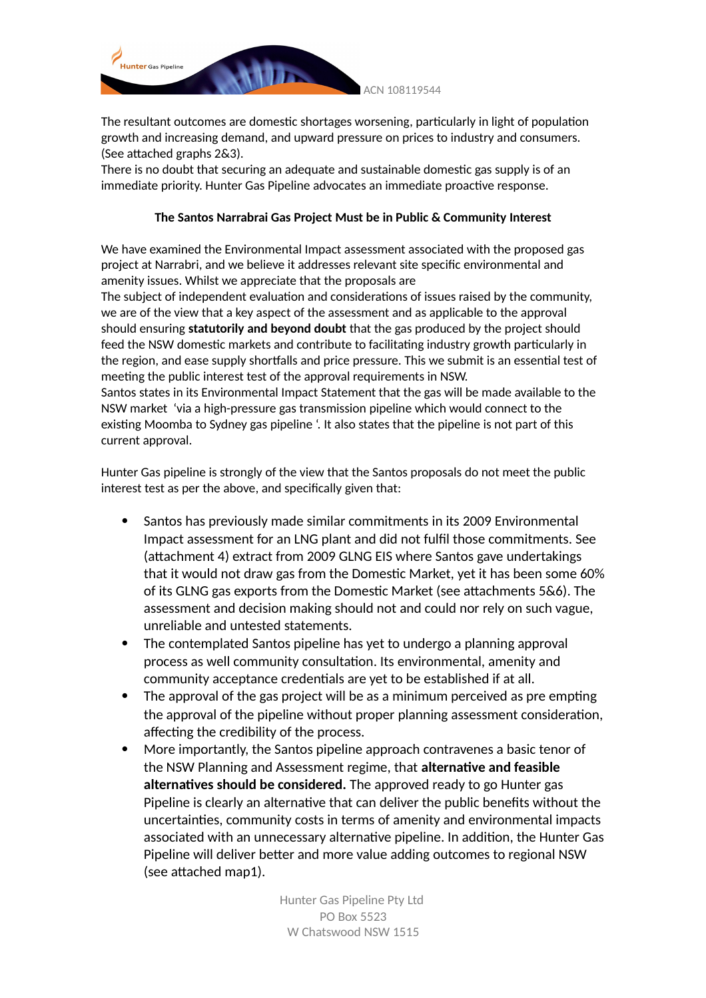

The resultant outcomes are domestic shortages worsening, particularly in light of population growth and increasing demand, and upward pressure on prices to industry and consumers. (See attached graphs 2&3).

There is no doubt that securing an adequate and sustainable domestic gas supply is of an immediate priority. Hunter Gas Pipeline advocates an immediate proactive response.

### **The Santos Narrabrai Gas Project Must be in Public & Community Interest**

We have examined the Environmental Impact assessment associated with the proposed gas project at Narrabri, and we believe it addresses relevant site specific environmental and amenity issues. Whilst we appreciate that the proposals are

The subject of independent evaluation and considerations of issues raised by the community, we are of the view that a key aspect of the assessment and as applicable to the approval should ensuring **statutorily and beyond doubt** that the gas produced by the project should feed the NSW domestic markets and contribute to facilitating industry growth particularly in the region, and ease supply shortfalls and price pressure. This we submit is an essential test of meeting the public interest test of the approval requirements in NSW. Santos states in its Environmental Impact Statement that the gas will be made available to the NSW market 'via a high-pressure gas transmission pipeline which would connect to the existing Moomba to Sydney gas pipeline '. It also states that the pipeline is not part of this

current approval.

Hunter Gas pipeline is strongly of the view that the Santos proposals do not meet the public interest test as per the above, and specifically given that:

- Santos has previously made similar commitments in its 2009 Environmental Impact assessment for an LNG plant and did not fulfil those commitments. See (attachment 4) extract from 2009 GLNG EIS where Santos gave undertakings that it would not draw gas from the Domestic Market, yet it has been some 60% of its GLNG gas exports from the Domestic Market (see attachments 5&6). The assessment and decision making should not and could nor rely on such vague, unreliable and untested statements.
- The contemplated Santos pipeline has yet to undergo a planning approval process as well community consultation. Its environmental, amenity and community acceptance credentials are yet to be established if at all.
- The approval of the gas project will be as a minimum perceived as pre empting the approval of the pipeline without proper planning assessment consideration, affecting the credibility of the process.
- More importantly, the Santos pipeline approach contravenes a basic tenor of the NSW Planning and Assessment regime, that **alternative and feasible alternatives should be considered.** The approved ready to go Hunter gas Pipeline is clearly an alternative that can deliver the public benefits without the uncertainties, community costs in terms of amenity and environmental impacts associated with an unnecessary alternative pipeline. In addition, the Hunter Gas Pipeline will deliver better and more value adding outcomes to regional NSW (see attached map1).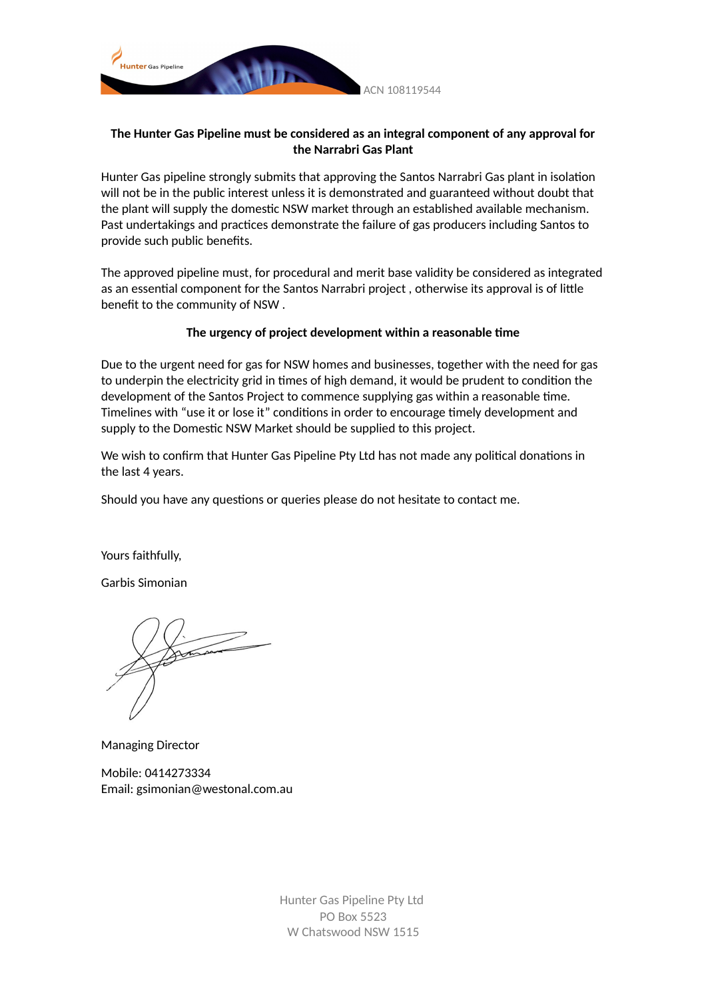

### **The Hunter Gas Pipeline must be considered as an integral component of any approval for the Narrabri Gas Plant**

Hunter Gas pipeline strongly submits that approving the Santos Narrabri Gas plant in isolation will not be in the public interest unless it is demonstrated and guaranteed without doubt that the plant will supply the domestic NSW market through an established available mechanism. Past undertakings and practices demonstrate the failure of gas producers including Santos to provide such public benefits.

The approved pipeline must, for procedural and merit base validity be considered as integrated as an essential component for the Santos Narrabri project , otherwise its approval is of little benefit to the community of NSW .

#### **The urgency of project development within a reasonable time**

Due to the urgent need for gas for NSW homes and businesses, together with the need for gas to underpin the electricity grid in times of high demand, it would be prudent to condition the development of the Santos Project to commence supplying gas within a reasonable time. Timelines with "use it or lose it" conditions in order to encourage timely development and supply to the Domestic NSW Market should be supplied to this project.

We wish to confirm that Hunter Gas Pipeline Pty Ltd has not made any political donations in the last 4 years.

Should you have any questions or queries please do not hesitate to contact me.

Yours faithfully,

Garbis Simonian

Managing Director

Mobile: 0414273334 Email: gsimonian@westonal.com.au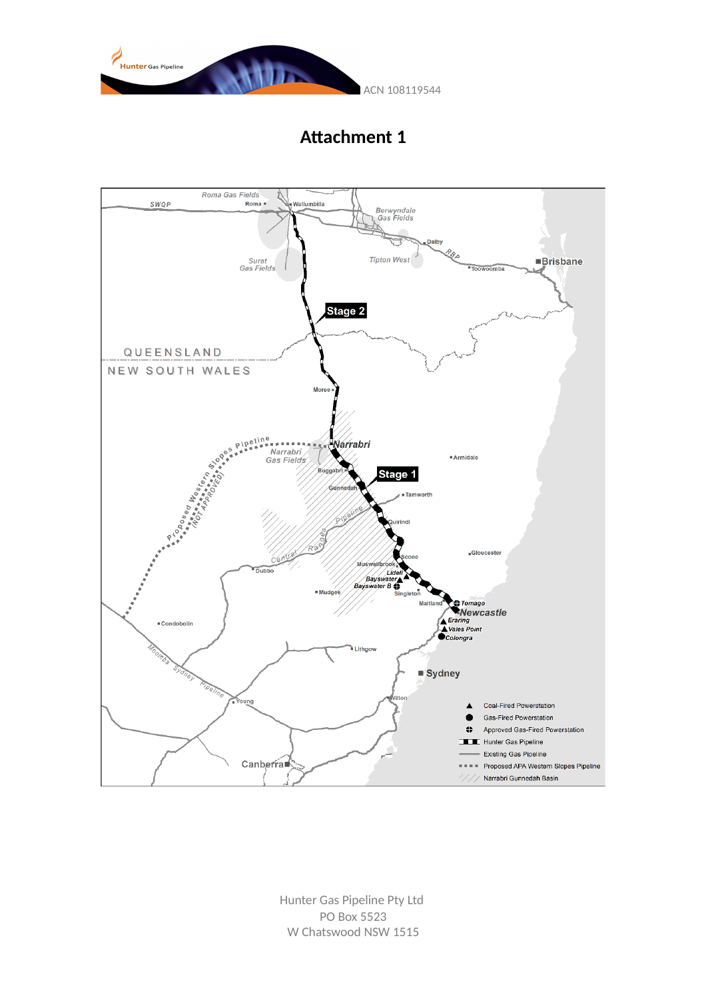



**Attachment 1**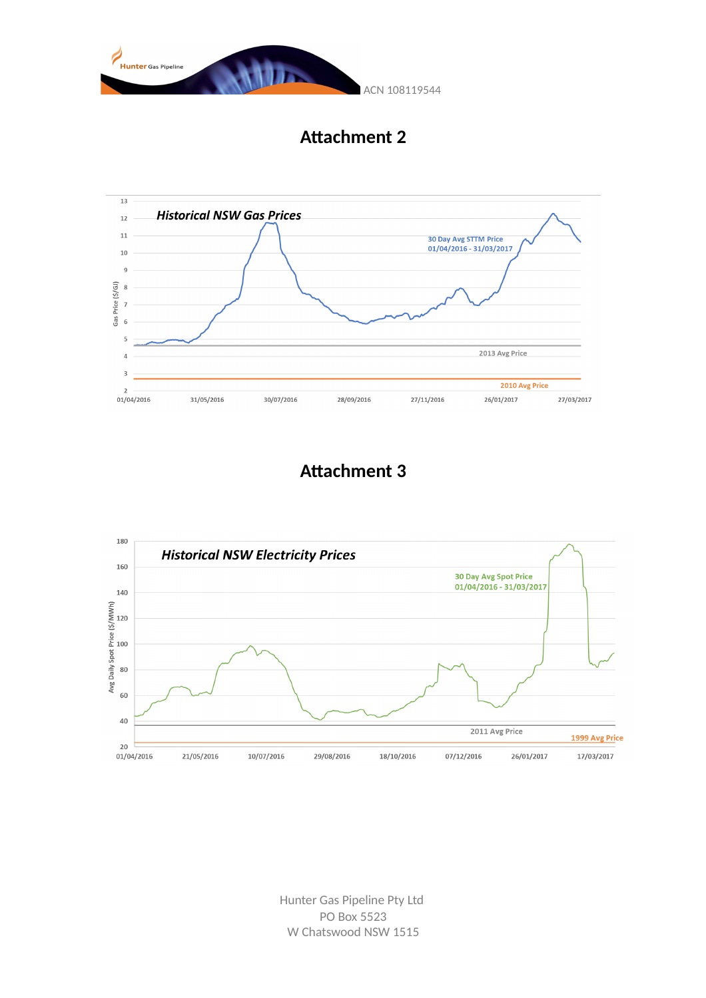

**Attachment 2**



## **Attachment 3**

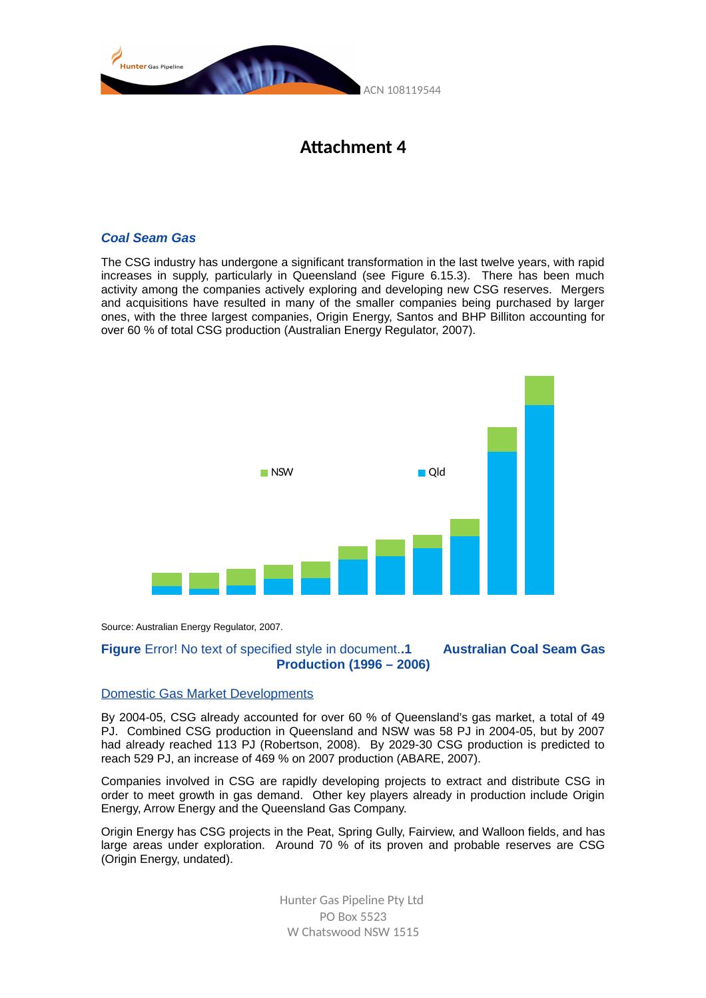



#### *Coal Seam Gas*

The CSG industry has undergone a significant transformation in the last twelve years, with rapid increases in supply, particularly in Queensland (see Figure 6.15.3). There has been much activity among the companies actively exploring and developing new CSG reserves. Mergers and acquisitions have resulted in many of the smaller companies being purchased by larger ones, with the three largest companies, Origin Energy, Santos and BHP Billiton accounting for over 60 % of total CSG production (Australian Energy Regulator, 2007).



Source: Australian Energy Regulator, 2007.

#### **Figure** Error! No text of specified style in document.**.1 Australian Coal Seam Gas Production (1996 – 2006)**

#### Domestic Gas Market Developments

By 2004-05, CSG already accounted for over 60 % of Queensland's gas market, a total of 49 PJ. Combined CSG production in Queensland and NSW was 58 PJ in 2004-05, but by 2007 had already reached 113 PJ (Robertson, 2008). By 2029-30 CSG production is predicted to reach 529 PJ, an increase of 469 % on 2007 production (ABARE, 2007).

Companies involved in CSG are rapidly developing projects to extract and distribute CSG in order to meet growth in gas demand. Other key players already in production include Origin Energy, Arrow Energy and the Queensland Gas Company.

Origin Energy has CSG projects in the Peat, Spring Gully, Fairview, and Walloon fields, and has large areas under exploration. Around 70 % of its proven and probable reserves are CSG (Origin Energy, undated).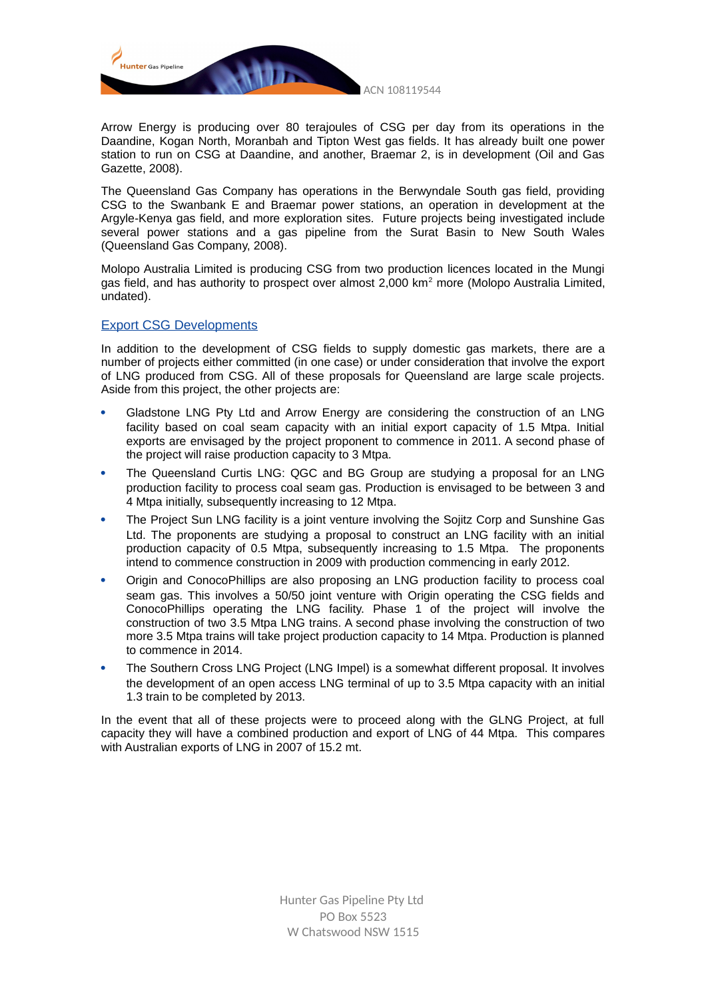

Arrow Energy is producing over 80 terajoules of CSG per day from its operations in the Daandine, Kogan North, Moranbah and Tipton West gas fields. It has already built one power station to run on CSG at Daandine, and another, Braemar 2, is in development (Oil and Gas Gazette, 2008).

The Queensland Gas Company has operations in the Berwyndale South gas field, providing CSG to the Swanbank E and Braemar power stations, an operation in development at the Argyle-Kenya gas field, and more exploration sites. Future projects being investigated include several power stations and a gas pipeline from the Surat Basin to New South Wales (Queensland Gas Company, 2008).

Molopo Australia Limited is producing CSG from two production licences located in the Mungi gas field, and has authority to prospect over almost 2,000 km<sup>2</sup> more (Molopo Australia Limited, undated).

#### Export CSG Developments

In addition to the development of CSG fields to supply domestic gas markets, there are a number of projects either committed (in one case) or under consideration that involve the export of LNG produced from CSG. All of these proposals for Queensland are large scale projects. Aside from this project, the other projects are:

- Gladstone LNG Pty Ltd and Arrow Energy are considering the construction of an LNG facility based on coal seam capacity with an initial export capacity of 1.5 Mtpa. Initial exports are envisaged by the project proponent to commence in 2011. A second phase of the project will raise production capacity to 3 Mtpa.
- The Queensland Curtis LNG: QGC and BG Group are studying a proposal for an LNG production facility to process coal seam gas. Production is envisaged to be between 3 and 4 Mtpa initially, subsequently increasing to 12 Mtpa.
- The Project Sun LNG facility is a joint venture involving the Sojitz Corp and Sunshine Gas Ltd. The proponents are studying a proposal to construct an LNG facility with an initial production capacity of 0.5 Mtpa, subsequently increasing to 1.5 Mtpa. The proponents intend to commence construction in 2009 with production commencing in early 2012.
- Origin and ConocoPhillips are also proposing an LNG production facility to process coal seam gas. This involves a 50/50 joint venture with Origin operating the CSG fields and ConocoPhillips operating the LNG facility. Phase 1 of the project will involve the construction of two 3.5 Mtpa LNG trains. A second phase involving the construction of two more 3.5 Mtpa trains will take project production capacity to 14 Mtpa. Production is planned to commence in 2014.
- The Southern Cross LNG Project (LNG Impel) is a somewhat different proposal. It involves the development of an open access LNG terminal of up to 3.5 Mtpa capacity with an initial 1.3 train to be completed by 2013.

In the event that all of these projects were to proceed along with the GLNG Project, at full capacity they will have a combined production and export of LNG of 44 Mtpa. This compares with Australian exports of LNG in 2007 of 15.2 mt.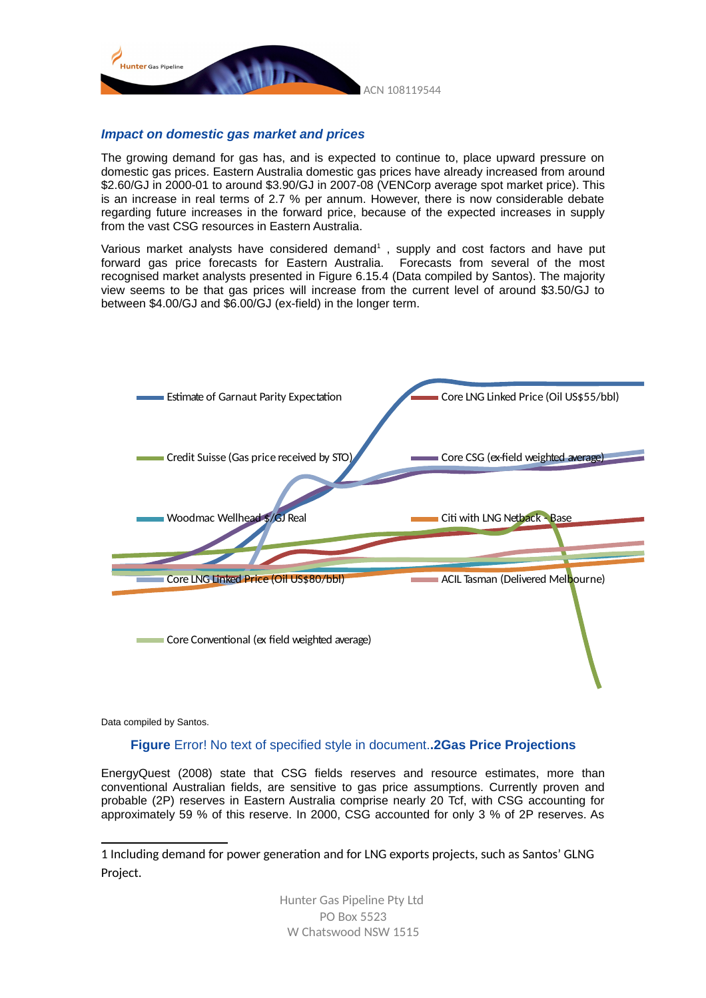

#### *Impact on domestic gas market and prices*

The growing demand for gas has, and is expected to continue to, place upward pressure on domestic gas prices. Eastern Australia domestic gas prices have already increased from around \$2.60/GJ in 2000-01 to around \$3.90/GJ in 2007-08 (VENCorp average spot market price). This is an increase in real terms of 2.7 % per annum. However, there is now considerable debate regarding future increases in the forward price, because of the expected increases in supply from the vast CSG resources in Eastern Australia.

Various market analysts have considered demand<sup>[1](#page-7-0)</sup>, supply and cost factors and have put forward gas price forecasts for Eastern Australia. Forecasts from several of the most recognised market analysts presented in Figure 6.15.4 (Data compiled by Santos). The majority view seems to be that gas prices will increase from the current level of around \$3.50/GJ to between \$4.00/GJ and \$6.00/GJ (ex-field) in the longer term.



Data compiled by Santos.

#### **Figure** Error! No text of specified style in document.**.2Gas Price Projections**

EnergyQuest (2008) state that CSG fields reserves and resource estimates, more than conventional Australian fields, are sensitive to gas price assumptions. Currently proven and probable (2P) reserves in Eastern Australia comprise nearly 20 Tcf, with CSG accounting for approximately 59 % of this reserve. In 2000, CSG accounted for only 3 % of 2P reserves. As

<span id="page-7-0"></span><sup>1</sup> Including demand for power generation and for LNG exports projects, such as Santos' GLNG Project.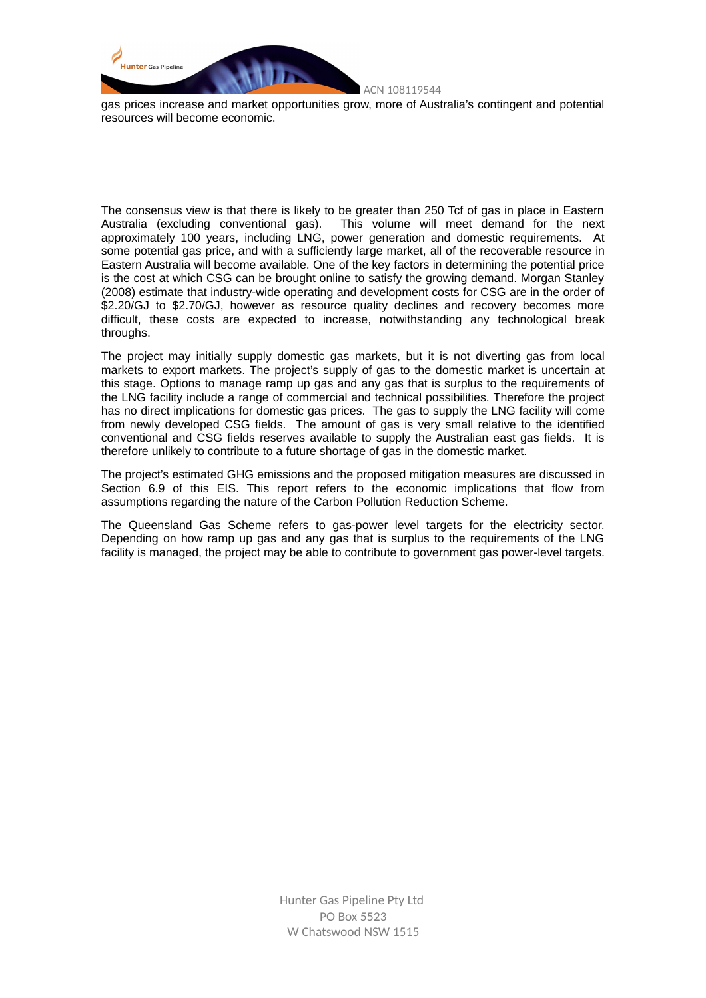

gas prices increase and market opportunities grow, more of Australia's contingent and potential resources will become economic.

The consensus view is that there is likely to be greater than 250 Tcf of gas in place in Eastern Australia (excluding conventional gas). This volume will meet demand for the next approximately 100 years, including LNG, power generation and domestic requirements. At some potential gas price, and with a sufficiently large market, all of the recoverable resource in Eastern Australia will become available. One of the key factors in determining the potential price is the cost at which CSG can be brought online to satisfy the growing demand. Morgan Stanley (2008) estimate that industry-wide operating and development costs for CSG are in the order of \$2.20/GJ to \$2.70/GJ, however as resource quality declines and recovery becomes more difficult, these costs are expected to increase, notwithstanding any technological break throughs.

The project may initially supply domestic gas markets, but it is not diverting gas from local markets to export markets. The project's supply of gas to the domestic market is uncertain at this stage. Options to manage ramp up gas and any gas that is surplus to the requirements of the LNG facility include a range of commercial and technical possibilities. Therefore the project has no direct implications for domestic gas prices. The gas to supply the LNG facility will come from newly developed CSG fields. The amount of gas is very small relative to the identified conventional and CSG fields reserves available to supply the Australian east gas fields. It is therefore unlikely to contribute to a future shortage of gas in the domestic market.

The project's estimated GHG emissions and the proposed mitigation measures are discussed in Section 6.9 of this EIS. This report refers to the economic implications that flow from assumptions regarding the nature of the Carbon Pollution Reduction Scheme.

The Queensland Gas Scheme refers to gas-power level targets for the electricity sector. Depending on how ramp up gas and any gas that is surplus to the requirements of the LNG facility is managed, the project may be able to contribute to government gas power-level targets.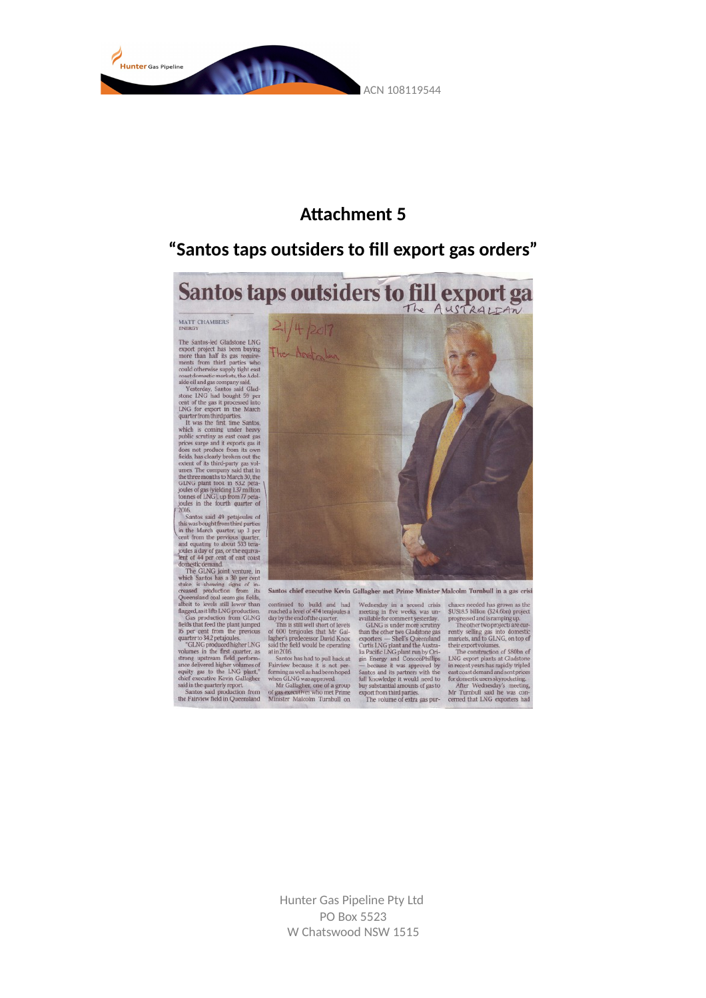

## **Attachment 5**

## "Santos taps outsiders to fill export gas orders"

Santos taps outsiders to fill export ga

MATT CHAMBERS

ENERGY<br>The Santos-led Gladstone LNG<br>export project has been buying emore than half its gas require<br>ments from thrid particles who could otherwise supply tight east<br>could otherwise supply tight east<br>accordation and all and

 $21/4/2017$ The Application tones said 49 per<br>jouks in the fourth quarter of  $Z0$ .<br>
Sands in the fourth quarter of the mach quarter of the mean of east of the periodic state<br>
in the March quarter, up 3 per cent<br>
and equality conduction from the peri